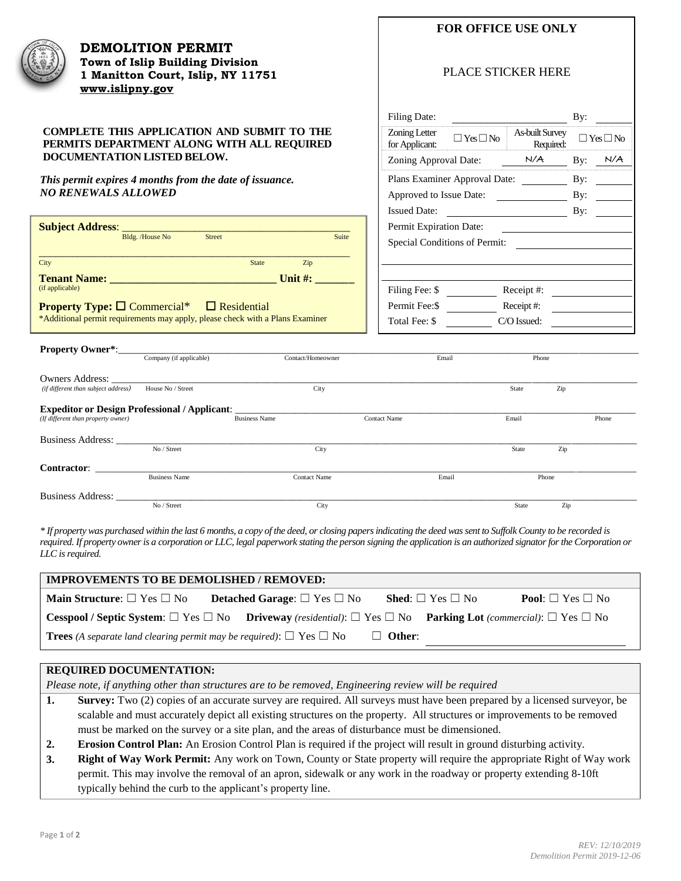

**DEMOLITION PERMIT Town of Islip Building Division 1 Manitton Court, Islip, NY 11751 [www.islipny.gov](http://www.islipny.gov/)**

## **COMPLETE THIS APPLICATION AND SUBMIT TO THE PERMITS DEPARTMENT ALONG WITH ALL REQUIRED DOCUMENTATION LISTED BELOW.**

*This permit expires 4 months from the date of issuance. NO RENEWALS ALLOWED*

| <b>Subject Address: _</b>                |                 |                    |                                   |       |
|------------------------------------------|-----------------|--------------------|-----------------------------------|-------|
|                                          | Bldg. /House No | <b>Street</b>      |                                   | Suite |
|                                          |                 |                    |                                   |       |
| City                                     |                 | <b>State</b>       | $\mathop{\mathrm {Zip}}\nolimits$ |       |
| <b>Tenant Name:</b><br>(if applicable)   |                 |                    | Unit $\#$ :                       |       |
| <b>Property Type:</b> $\Box$ Commercial* |                 | $\Box$ Residential |                                   |       |

**Property Type: □ Commercial\*** □ Residential \*Additional permit requirements may apply, please check with a Plans Examiner

## PLACE STICKER HERE

| Filing Date:                    |                         |                              | By: |                       |
|---------------------------------|-------------------------|------------------------------|-----|-----------------------|
| Zoning Letter<br>for Applicant: | $\exists$ Yes $\Box$ No | As-built Survey<br>Required: |     | $\gamma$ es $\Box$ No |
| Zoning Approval Date:           |                         | N/A                          | By: | N/A                   |
| Plans Examiner Approval Date:   |                         |                              |     |                       |
| Approved to Issue Date:         |                         |                              | By: |                       |
| <b>Issued Date:</b>             |                         |                              | By: |                       |
| Permit Expiration Date:         |                         |                              |     |                       |
| Special Conditions of Permit:   |                         |                              |     |                       |
|                                 |                         |                              |     |                       |
|                                 |                         |                              |     |                       |
| Filing Fee: \$                  |                         | Receipt#:                    |     |                       |
| Permit Fee: \$                  |                         | Receipt#:                    |     |                       |
| Total Fee: \$                   |                         | C/O Issued:                  |     |                       |

| <b>Property Owner*:</b>                              |                         |                      |                     |       |       |       |
|------------------------------------------------------|-------------------------|----------------------|---------------------|-------|-------|-------|
|                                                      | Company (if applicable) | Contact/Homeowner    |                     | Email | Phone |       |
| Owners Address:                                      |                         |                      |                     |       |       |       |
| (if different than subject address)                  | House No / Street       | City                 |                     | State | Zip   |       |
| <b>Expeditor or Design Professional / Applicant:</b> |                         |                      |                     |       |       |       |
| (If different than property owner)                   |                         | <b>Business Name</b> | <b>Contact Name</b> | Email |       | Phone |
| <b>Business Address:</b>                             |                         |                      |                     |       |       |       |
|                                                      | No / Street             | City                 |                     | State | Zip   |       |
| <b>Contractor:</b>                                   |                         |                      |                     |       |       |       |
|                                                      | <b>Business Name</b>    | <b>Contact Name</b>  |                     | Email | Phone |       |
| <b>Business Address:</b>                             |                         |                      |                     |       |       |       |
|                                                      | No / Street             | City                 |                     | State | Zip   |       |

*\* If property was purchased within the last 6 months, a copy of the deed, or closing papers indicating the deed was sent to Suffolk County to be recorded is required. If property owner is a corporation or LLC, legal paperwork stating the person signing the application is an authorized signator for the Corporation or LLC is required.*

| <b>IMPROVEMENTS TO BE DEMOLISHED / REMOVED:</b>                                      |                                              |               |                                                                                                                                                                 |  |
|--------------------------------------------------------------------------------------|----------------------------------------------|---------------|-----------------------------------------------------------------------------------------------------------------------------------------------------------------|--|
| <b>Main Structure</b> : $\Box$ Yes $\Box$ No                                         | <b>Detached Garage:</b> $\Box$ Yes $\Box$ No |               | <b>Shed:</b> $\Box$ Yes $\Box$ No<br><b>Pool:</b> $\Box$ Yes $\Box$ No                                                                                          |  |
|                                                                                      |                                              |               | <b>Cesspool / Septic System:</b> $\Box$ Yes $\Box$ No <b>Driveway</b> (residential): $\Box$ Yes $\Box$ No <b>Parking Lot</b> (commercial): $\Box$ Yes $\Box$ No |  |
| <b>Trees</b> (A separate land clearing permit may be required): $\Box$ Yes $\Box$ No |                                              | $\Box$ Other: |                                                                                                                                                                 |  |

# **REQUIRED DOCUMENTATION:**

*Please note, if anything other than structures are to be removed, Engineering review will be required*

- **1. Survey:** Two (2) copies of an accurate survey are required. All surveys must have been prepared by a licensed surveyor, be scalable and must accurately depict all existing structures on the property. All structures or improvements to be removed must be marked on the survey or a site plan, and the areas of disturbance must be dimensioned.
- **2. Erosion Control Plan:** An Erosion Control Plan is required if the project will result in ground disturbing activity.
- **3. Right of Way Work Permit:** Any work on Town, County or State property will require the appropriate Right of Way work permit. This may involve the removal of an apron, sidewalk or any work in the roadway or property extending 8-10ft typically behind the curb to the applicant's property line.